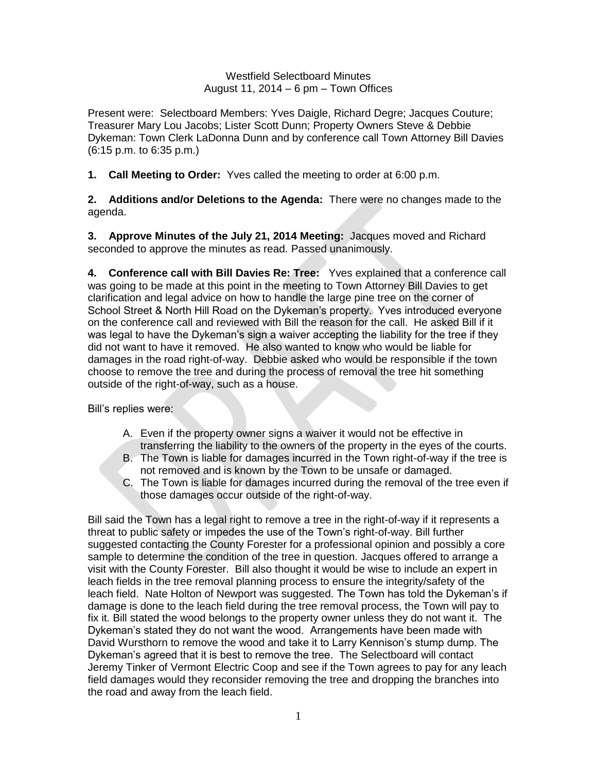## Westfield Selectboard Minutes August 11, 2014 – 6 pm – Town Offices

Present were: Selectboard Members: Yves Daigle, Richard Degre; Jacques Couture; Treasurer Mary Lou Jacobs; Lister Scott Dunn; Property Owners Steve & Debbie Dykeman: Town Clerk LaDonna Dunn and by conference call Town Attorney Bill Davies (6:15 p.m. to 6:35 p.m.)

**1. Call Meeting to Order:** Yves called the meeting to order at 6:00 p.m.

**2. Additions and/or Deletions to the Agenda:** There were no changes made to the agenda.

**3. Approve Minutes of the July 21, 2014 Meeting:** Jacques moved and Richard seconded to approve the minutes as read. Passed unanimously.

**4. Conference call with Bill Davies Re: Tree:** Yves explained that a conference call was going to be made at this point in the meeting to Town Attorney Bill Davies to get clarification and legal advice on how to handle the large pine tree on the corner of School Street & North Hill Road on the Dykeman's property. Yves introduced everyone on the conference call and reviewed with Bill the reason for the call. He asked Bill if it was legal to have the Dykeman's sign a waiver accepting the liability for the tree if they did not want to have it removed. He also wanted to know who would be liable for damages in the road right-of-way. Debbie asked who would be responsible if the town choose to remove the tree and during the process of removal the tree hit something outside of the right-of-way, such as a house.

Bill's replies were:

- A. Even if the property owner signs a waiver it would not be effective in transferring the liability to the owners of the property in the eyes of the courts.
- B. The Town is liable for damages incurred in the Town right-of-way if the tree is not removed and is known by the Town to be unsafe or damaged.
- C. The Town is liable for damages incurred during the removal of the tree even if those damages occur outside of the right-of-way.

Bill said the Town has a legal right to remove a tree in the right-of-way if it represents a threat to public safety or impedes the use of the Town's right-of-way. Bill further suggested contacting the County Forester for a professional opinion and possibly a core sample to determine the condition of the tree in question. Jacques offered to arrange a visit with the County Forester. Bill also thought it would be wise to include an expert in leach fields in the tree removal planning process to ensure the integrity/safety of the leach field. Nate Holton of Newport was suggested. The Town has told the Dykeman's if damage is done to the leach field during the tree removal process, the Town will pay to fix it. Bill stated the wood belongs to the property owner unless they do not want it. The Dykeman's stated they do not want the wood. Arrangements have been made with David Wursthorn to remove the wood and take it to Larry Kennison's stump dump. The Dykeman's agreed that it is best to remove the tree. The Selectboard will contact Jeremy Tinker of Vermont Electric Coop and see if the Town agrees to pay for any leach field damages would they reconsider removing the tree and dropping the branches into the road and away from the leach field.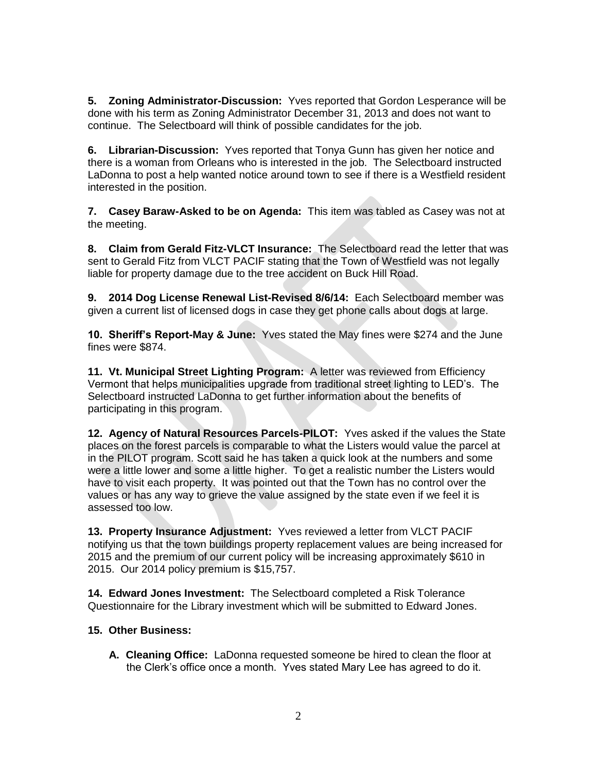**5. Zoning Administrator-Discussion:** Yves reported that Gordon Lesperance will be done with his term as Zoning Administrator December 31, 2013 and does not want to continue. The Selectboard will think of possible candidates for the job.

**6. Librarian-Discussion:** Yves reported that Tonya Gunn has given her notice and there is a woman from Orleans who is interested in the job. The Selectboard instructed LaDonna to post a help wanted notice around town to see if there is a Westfield resident interested in the position.

**7. Casey Baraw-Asked to be on Agenda:** This item was tabled as Casey was not at the meeting.

**8. Claim from Gerald Fitz-VLCT Insurance:** The Selectboard read the letter that was sent to Gerald Fitz from VLCT PACIF stating that the Town of Westfield was not legally liable for property damage due to the tree accident on Buck Hill Road.

**9. 2014 Dog License Renewal List-Revised 8/6/14:** Each Selectboard member was given a current list of licensed dogs in case they get phone calls about dogs at large.

**10. Sheriff's Report-May & June:** Yves stated the May fines were \$274 and the June fines were \$874.

**11. Vt. Municipal Street Lighting Program:** A letter was reviewed from Efficiency Vermont that helps municipalities upgrade from traditional street lighting to LED's. The Selectboard instructed LaDonna to get further information about the benefits of participating in this program.

**12. Agency of Natural Resources Parcels-PILOT:** Yves asked if the values the State places on the forest parcels is comparable to what the Listers would value the parcel at in the PILOT program. Scott said he has taken a quick look at the numbers and some were a little lower and some a little higher. To get a realistic number the Listers would have to visit each property. It was pointed out that the Town has no control over the values or has any way to grieve the value assigned by the state even if we feel it is assessed too low.

**13. Property Insurance Adjustment:** Yves reviewed a letter from VLCT PACIF notifying us that the town buildings property replacement values are being increased for 2015 and the premium of our current policy will be increasing approximately \$610 in 2015. Our 2014 policy premium is \$15,757.

**14. Edward Jones Investment:** The Selectboard completed a Risk Tolerance Questionnaire for the Library investment which will be submitted to Edward Jones.

## **15. Other Business:**

**A. Cleaning Office:** LaDonna requested someone be hired to clean the floor at the Clerk's office once a month. Yves stated Mary Lee has agreed to do it.